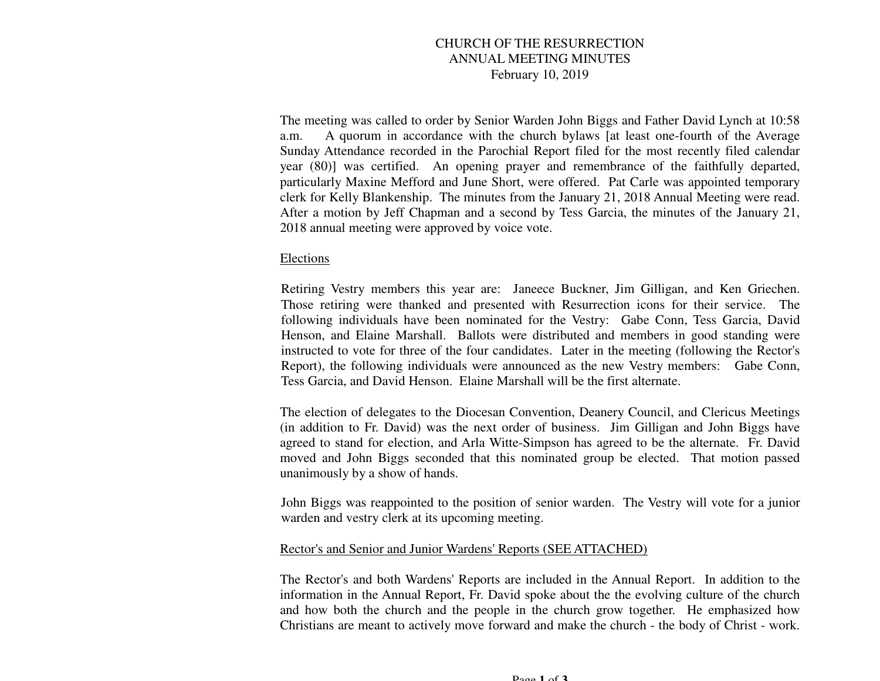# CHURCH OF THE RESURRECTION ANNUAL MEETING MINUTES February 10, 2019

The meeting was called to order by Senior Warden John Biggs and Father David Lynch at 10:58 a.m. A quorum in accordance with the church bylaws [at least one-fourth of the Average Sunday Attendance recorded in the Parochial Report filed for the most recently filed calendar year (80)] was certified. An opening prayer and remembrance of the faithfully departed, particularly Maxine Mefford and June Short, were offered. Pat Carle was appointed temporary clerk for Kelly Blankenship. The minutes from the January 21, 2018 Annual Meeting were read. After a motion by Jeff Chapman and a second by Tess Garcia, the minutes of the January 21, 2018 annual meeting were approved by voice vote.

## Elections

Retiring Vestry members this year are: Janeece Buckner, Jim Gilligan, and Ken Griechen. Those retiring were thanked and presented with Resurrection icons for their service. The following individuals have been nominated for the Vestry: Gabe Conn, Tess Garcia, David Henson, and Elaine Marshall. Ballots were distributed and members in good standing were instructed to vote for three of the four candidates. Later in the meeting (following the Rector's Report), the following individuals were announced as the new Vestry members: Gabe Conn, Tess Garcia, and David Henson. Elaine Marshall will be the first alternate.

The election of delegates to the Diocesan Convention, Deanery Council, and Clericus Meetings (in addition to Fr. David) was the next order of business. Jim Gilligan and John Biggs have agreed to stand for election, and Arla Witte-Simpson has agreed to be the alternate. Fr. David moved and John Biggs seconded that this nominated group be elected. That motion passed unanimously by a show of hands.

John Biggs was reappointed to the position of senior warden. The Vestry will vote for a junior warden and vestry clerk at its upcoming meeting.

#### Rector's and Senior and Junior Wardens' Reports (SEE ATTACHED)

The Rector's and both Wardens' Reports are included in the Annual Report. In addition to the information in the Annual Report, Fr. David spoke about the the evolving culture of the church and how both the church and the people in the church grow together. He emphasized how Christians are meant to actively move forward and make the church - the body of Christ - work.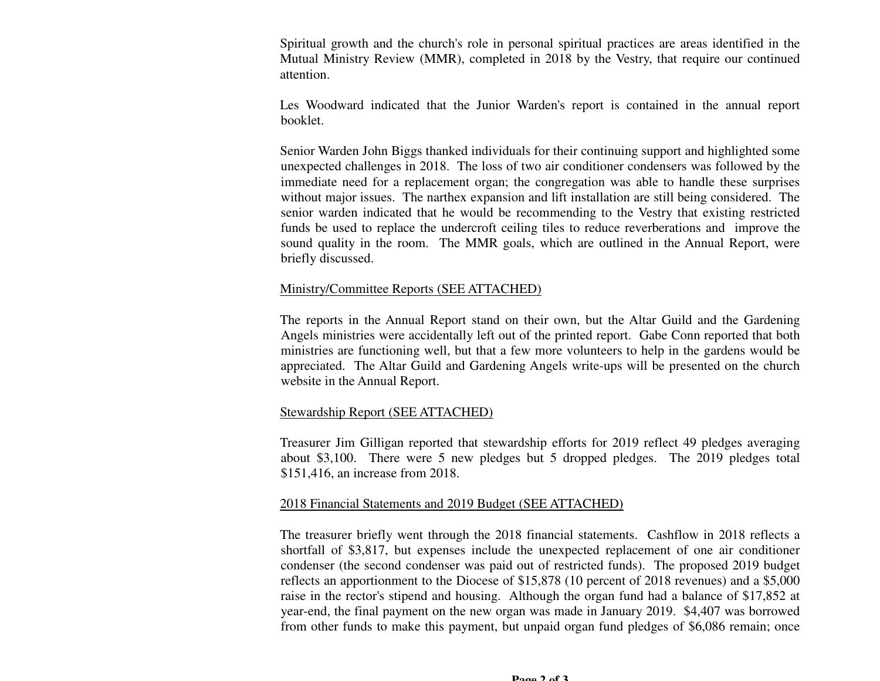Spiritual growth and the church's role in personal spiritual practices are areas identified in the Mutual Ministry Review (MMR), completed in 2018 by the Vestry, that require our continued attention.

Les Woodward indicated that the Junior Warden's report is contained in the annual report booklet.

Senior Warden John Biggs thanked individuals for their continuing support and highlighted some unexpected challenges in 2018. The loss of two air conditioner condensers was followed by the immediate need for a replacement organ; the congregation was able to handle these surprises without major issues. The narthex expansion and lift installation are still being considered. The senior warden indicated that he would be recommending to the Vestry that existing restricted funds be used to replace the undercroft ceiling tiles to reduce reverberations and improve the sound quality in the room. The MMR goals, which are outlined in the Annual Report, were briefly discussed.

## Ministry/Committee Reports (SEE ATTACHED)

The reports in the Annual Report stand on their own, but the Altar Guild and the Gardening Angels ministries were accidentally left out of the printed report. Gabe Conn reported that both ministries are functioning well, but that a few more volunteers to help in the gardens would be appreciated. The Altar Guild and Gardening Angels write-ups will be presented on the church website in the Annual Report.

# Stewardship Report (SEE ATTACHED)

Treasurer Jim Gilligan reported that stewardship efforts for 2019 reflect 49 pledges averaging about \$3,100. There were 5 new pledges but 5 dropped pledges. The 2019 pledges total \$151,416, an increase from 2018.

# 2018 Financial Statements and 2019 Budget (SEE ATTACHED)

The treasurer briefly went through the 2018 financial statements. Cashflow in 2018 reflects a shortfall of \$3,817, but expenses include the unexpected replacement of one air conditioner condenser (the second condenser was paid out of restricted funds). The proposed 2019 budget reflects an apportionment to the Diocese of \$15,878 (10 percent of 2018 revenues) and a \$5,000 raise in the rector's stipend and housing. Although the organ fund had a balance of \$17,852 at year-end, the final payment on the new organ was made in January 2019. \$4,407 was borrowed from other funds to make this payment, but unpaid organ fund pledges of \$6,086 remain; once